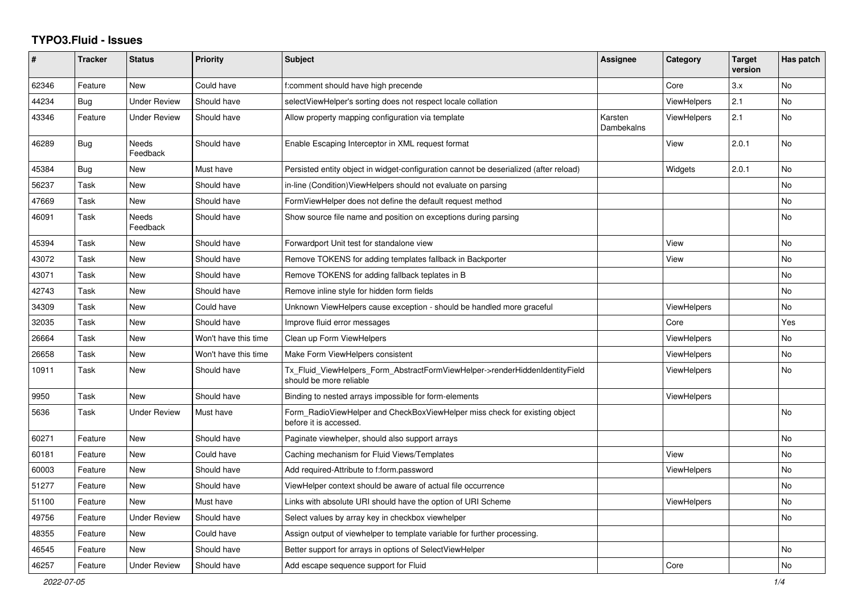## **TYPO3.Fluid - Issues**

| #     | <b>Tracker</b> | <b>Status</b>       | <b>Priority</b>      | <b>Subject</b>                                                                                         | <b>Assignee</b>       | Category           | <b>Target</b><br>version | Has patch |
|-------|----------------|---------------------|----------------------|--------------------------------------------------------------------------------------------------------|-----------------------|--------------------|--------------------------|-----------|
| 62346 | Feature        | New                 | Could have           | f:comment should have high precende                                                                    |                       | Core               | 3.x                      | No        |
| 44234 | Bug            | <b>Under Review</b> | Should have          | selectViewHelper's sorting does not respect locale collation                                           |                       | <b>ViewHelpers</b> | 2.1                      | No        |
| 43346 | Feature        | <b>Under Review</b> | Should have          | Allow property mapping configuration via template                                                      | Karsten<br>Dambekalns | <b>ViewHelpers</b> | 2.1                      | <b>No</b> |
| 46289 | Bug            | Needs<br>Feedback   | Should have          | Enable Escaping Interceptor in XML request format                                                      |                       | View               | 2.0.1                    | No        |
| 45384 | Bug            | New                 | Must have            | Persisted entity object in widget-configuration cannot be deserialized (after reload)                  |                       | Widgets            | 2.0.1                    | No        |
| 56237 | Task           | New                 | Should have          | in-line (Condition)ViewHelpers should not evaluate on parsing                                          |                       |                    |                          | No        |
| 47669 | Task           | <b>New</b>          | Should have          | FormViewHelper does not define the default request method                                              |                       |                    |                          | No        |
| 46091 | Task           | Needs<br>Feedback   | Should have          | Show source file name and position on exceptions during parsing                                        |                       |                    |                          | <b>No</b> |
| 45394 | Task           | <b>New</b>          | Should have          | Forwardport Unit test for standalone view                                                              |                       | View               |                          | No        |
| 43072 | Task           | <b>New</b>          | Should have          | Remove TOKENS for adding templates fallback in Backporter                                              |                       | View               |                          | <b>No</b> |
| 43071 | Task           | <b>New</b>          | Should have          | Remove TOKENS for adding fallback teplates in B                                                        |                       |                    |                          | <b>No</b> |
| 42743 | Task           | New                 | Should have          | Remove inline style for hidden form fields                                                             |                       |                    |                          | No        |
| 34309 | Task           | New                 | Could have           | Unknown ViewHelpers cause exception - should be handled more graceful                                  |                       | <b>ViewHelpers</b> |                          | No        |
| 32035 | Task           | New                 | Should have          | Improve fluid error messages                                                                           |                       | Core               |                          | Yes       |
| 26664 | Task           | New                 | Won't have this time | Clean up Form ViewHelpers                                                                              |                       | <b>ViewHelpers</b> |                          | No        |
| 26658 | Task           | New                 | Won't have this time | Make Form ViewHelpers consistent                                                                       |                       | <b>ViewHelpers</b> |                          | No        |
| 10911 | Task           | <b>New</b>          | Should have          | Tx Fluid ViewHelpers Form AbstractFormViewHelper->renderHiddenIdentityField<br>should be more reliable |                       | <b>ViewHelpers</b> |                          | <b>No</b> |
| 9950  | Task           | <b>New</b>          | Should have          | Binding to nested arrays impossible for form-elements                                                  |                       | <b>ViewHelpers</b> |                          |           |
| 5636  | Task           | <b>Under Review</b> | Must have            | Form RadioViewHelper and CheckBoxViewHelper miss check for existing object<br>before it is accessed.   |                       |                    |                          | <b>No</b> |
| 60271 | Feature        | New                 | Should have          | Paginate viewhelper, should also support arrays                                                        |                       |                    |                          | <b>No</b> |
| 60181 | Feature        | New                 | Could have           | Caching mechanism for Fluid Views/Templates                                                            |                       | View               |                          | <b>No</b> |
| 60003 | Feature        | New                 | Should have          | Add required-Attribute to f:form.password                                                              |                       | ViewHelpers        |                          | No        |
| 51277 | Feature        | New                 | Should have          | ViewHelper context should be aware of actual file occurrence                                           |                       |                    |                          | No.       |
| 51100 | Feature        | New                 | Must have            | Links with absolute URI should have the option of URI Scheme                                           |                       | <b>ViewHelpers</b> |                          | No        |
| 49756 | Feature        | <b>Under Review</b> | Should have          | Select values by array key in checkbox viewhelper                                                      |                       |                    |                          | No        |
| 48355 | Feature        | <b>New</b>          | Could have           | Assign output of viewhelper to template variable for further processing.                               |                       |                    |                          |           |
| 46545 | Feature        | <b>New</b>          | Should have          | Better support for arrays in options of SelectViewHelper                                               |                       |                    |                          | <b>No</b> |
| 46257 | Feature        | <b>Under Review</b> | Should have          | Add escape sequence support for Fluid                                                                  |                       | Core               |                          | <b>No</b> |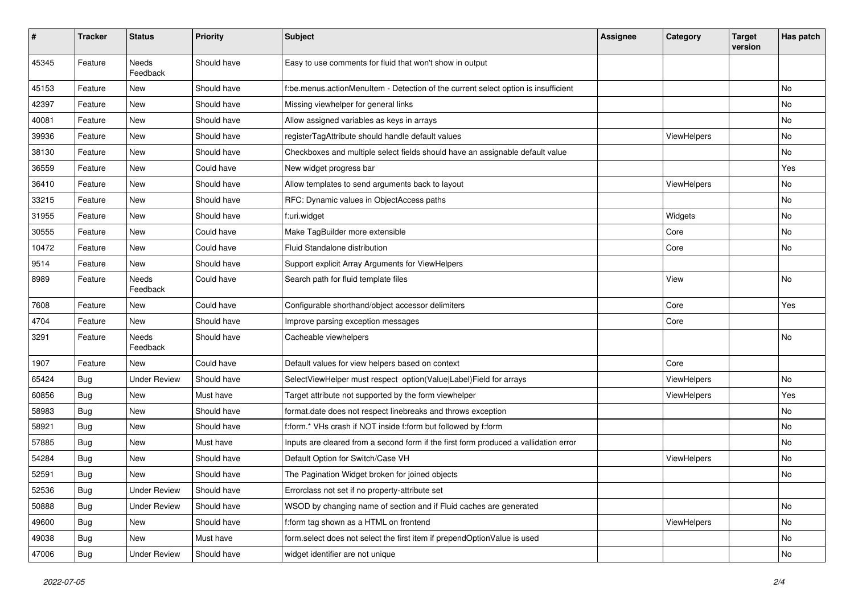| $\pmb{\#}$ | <b>Tracker</b> | <b>Status</b>            | <b>Priority</b> | Subject                                                                              | <b>Assignee</b> | Category    | <b>Target</b><br>version | Has patch |
|------------|----------------|--------------------------|-----------------|--------------------------------------------------------------------------------------|-----------------|-------------|--------------------------|-----------|
| 45345      | Feature        | Needs<br>Feedback        | Should have     | Easy to use comments for fluid that won't show in output                             |                 |             |                          |           |
| 45153      | Feature        | New                      | Should have     | f:be.menus.actionMenuItem - Detection of the current select option is insufficient   |                 |             |                          | No        |
| 42397      | Feature        | New                      | Should have     | Missing viewhelper for general links                                                 |                 |             |                          | No        |
| 40081      | Feature        | New                      | Should have     | Allow assigned variables as keys in arrays                                           |                 |             |                          | No        |
| 39936      | Feature        | New                      | Should have     | registerTagAttribute should handle default values                                    |                 | ViewHelpers |                          | No        |
| 38130      | Feature        | New                      | Should have     | Checkboxes and multiple select fields should have an assignable default value        |                 |             |                          | No        |
| 36559      | Feature        | New                      | Could have      | New widget progress bar                                                              |                 |             |                          | Yes       |
| 36410      | Feature        | New                      | Should have     | Allow templates to send arguments back to layout                                     |                 | ViewHelpers |                          | No        |
| 33215      | Feature        | New                      | Should have     | RFC: Dynamic values in ObjectAccess paths                                            |                 |             |                          | No        |
| 31955      | Feature        | <b>New</b>               | Should have     | f:uri.widget                                                                         |                 | Widgets     |                          | No.       |
| 30555      | Feature        | New                      | Could have      | Make TagBuilder more extensible                                                      |                 | Core        |                          | No        |
| 10472      | Feature        | New                      | Could have      | Fluid Standalone distribution                                                        |                 | Core        |                          | No        |
| 9514       | Feature        | New                      | Should have     | Support explicit Array Arguments for ViewHelpers                                     |                 |             |                          |           |
| 8989       | Feature        | Needs<br>Feedback        | Could have      | Search path for fluid template files                                                 |                 | View        |                          | No        |
| 7608       | Feature        | New                      | Could have      | Configurable shorthand/object accessor delimiters                                    |                 | Core        |                          | Yes       |
| 4704       | Feature        | New                      | Should have     | Improve parsing exception messages                                                   |                 | Core        |                          |           |
| 3291       | Feature        | <b>Needs</b><br>Feedback | Should have     | Cacheable viewhelpers                                                                |                 |             |                          | No        |
| 1907       | Feature        | New                      | Could have      | Default values for view helpers based on context                                     |                 | Core        |                          |           |
| 65424      | Bug            | <b>Under Review</b>      | Should have     | SelectViewHelper must respect option(Value Label)Field for arrays                    |                 | ViewHelpers |                          | No        |
| 60856      | Bug            | New                      | Must have       | Target attribute not supported by the form viewhelper                                |                 | ViewHelpers |                          | Yes       |
| 58983      | Bug            | New                      | Should have     | format.date does not respect linebreaks and throws exception                         |                 |             |                          | No        |
| 58921      | Bug            | New                      | Should have     | f:form.* VHs crash if NOT inside f:form but followed by f:form                       |                 |             |                          | No        |
| 57885      | Bug            | New                      | Must have       | Inputs are cleared from a second form if the first form produced a vallidation error |                 |             |                          | No        |
| 54284      | Bug            | New                      | Should have     | Default Option for Switch/Case VH                                                    |                 | ViewHelpers |                          | No        |
| 52591      | <b>Bug</b>     | New                      | Should have     | The Pagination Widget broken for joined objects                                      |                 |             |                          | No        |
| 52536      | Bug            | <b>Under Review</b>      | Should have     | Errorclass not set if no property-attribute set                                      |                 |             |                          |           |
| 50888      | <b>Bug</b>     | <b>Under Review</b>      | Should have     | WSOD by changing name of section and if Fluid caches are generated                   |                 |             |                          | No        |
| 49600      | <b>Bug</b>     | New                      | Should have     | f:form tag shown as a HTML on frontend                                               |                 | ViewHelpers |                          | No        |
| 49038      | <b>Bug</b>     | New                      | Must have       | form.select does not select the first item if prependOptionValue is used             |                 |             |                          | No        |
| 47006      | <b>Bug</b>     | <b>Under Review</b>      | Should have     | widget identifier are not unique                                                     |                 |             |                          | No        |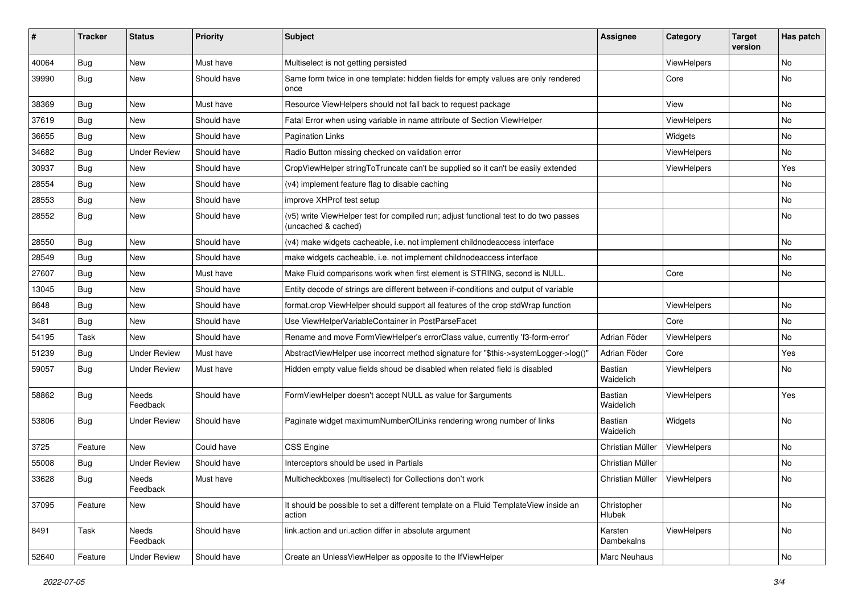| #     | <b>Tracker</b> | <b>Status</b>       | <b>Priority</b> | Subject                                                                                                     | <b>Assignee</b>       | Category           | <b>Target</b><br>version | Has patch |
|-------|----------------|---------------------|-----------------|-------------------------------------------------------------------------------------------------------------|-----------------------|--------------------|--------------------------|-----------|
| 40064 | Bug            | New                 | Must have       | Multiselect is not getting persisted                                                                        |                       | ViewHelpers        |                          | No        |
| 39990 | Bug            | New                 | Should have     | Same form twice in one template: hidden fields for empty values are only rendered<br>once                   |                       | Core               |                          | No        |
| 38369 | Bug            | <b>New</b>          | Must have       | Resource ViewHelpers should not fall back to request package                                                |                       | View               |                          | No        |
| 37619 | Bug            | New                 | Should have     | Fatal Error when using variable in name attribute of Section ViewHelper                                     |                       | ViewHelpers        |                          | No        |
| 36655 | Bug            | New                 | Should have     | Pagination Links                                                                                            |                       | Widgets            |                          | No.       |
| 34682 | Bug            | <b>Under Review</b> | Should have     | Radio Button missing checked on validation error                                                            |                       | <b>ViewHelpers</b> |                          | No        |
| 30937 | Bug            | New                 | Should have     | CropViewHelper stringToTruncate can't be supplied so it can't be easily extended                            |                       | ViewHelpers        |                          | Yes       |
| 28554 | Bug            | <b>New</b>          | Should have     | (v4) implement feature flag to disable caching                                                              |                       |                    |                          | No        |
| 28553 | Bug            | New                 | Should have     | improve XHProf test setup                                                                                   |                       |                    |                          | No        |
| 28552 | Bug            | New                 | Should have     | (v5) write ViewHelper test for compiled run; adjust functional test to do two passes<br>(uncached & cached) |                       |                    |                          | No        |
| 28550 | Bug            | New                 | Should have     | (v4) make widgets cacheable, i.e. not implement childnodeaccess interface                                   |                       |                    |                          | No        |
| 28549 | Bug            | New                 | Should have     | make widgets cacheable, i.e. not implement childnodeaccess interface                                        |                       |                    |                          | No        |
| 27607 | Bug            | New                 | Must have       | Make Fluid comparisons work when first element is STRING, second is NULL.                                   |                       | Core               |                          | No        |
| 13045 | Bug            | New                 | Should have     | Entity decode of strings are different between if-conditions and output of variable                         |                       |                    |                          |           |
| 8648  | Bug            | New                 | Should have     | format.crop ViewHelper should support all features of the crop stdWrap function                             |                       | ViewHelpers        |                          | No        |
| 3481  | Bug            | New                 | Should have     | Use ViewHelperVariableContainer in PostParseFacet                                                           |                       | Core               |                          | No        |
| 54195 | Task           | New                 | Should have     | Rename and move FormViewHelper's errorClass value, currently 'f3-form-error'                                | Adrian Föder          | ViewHelpers        |                          | No.       |
| 51239 | Bug            | <b>Under Review</b> | Must have       | AbstractViewHelper use incorrect method signature for "\$this->systemLogger->log()"                         | Adrian Föder          | Core               |                          | Yes       |
| 59057 | Bug            | <b>Under Review</b> | Must have       | Hidden empty value fields shoud be disabled when related field is disabled                                  | Bastian<br>Waidelich  | ViewHelpers        |                          | No.       |
| 58862 | Bug            | Needs<br>Feedback   | Should have     | FormViewHelper doesn't accept NULL as value for \$arguments                                                 | Bastian<br>Waidelich  | ViewHelpers        |                          | Yes       |
| 53806 | Bug            | <b>Under Review</b> | Should have     | Paginate widget maximumNumberOfLinks rendering wrong number of links                                        | Bastian<br>Waidelich  | Widgets            |                          | No        |
| 3725  | Feature        | <b>New</b>          | Could have      | <b>CSS Engine</b>                                                                                           | Christian Müller      | ViewHelpers        |                          | No        |
| 55008 | Bug            | <b>Under Review</b> | Should have     | Interceptors should be used in Partials                                                                     | Christian Müller      |                    |                          | No        |
| 33628 | Bug            | Needs<br>Feedback   | Must have       | Multicheckboxes (multiselect) for Collections don't work                                                    | Christian Müller      | ViewHelpers        |                          | No        |
| 37095 | Feature        | New                 | Should have     | It should be possible to set a different template on a Fluid TemplateView inside an<br>action               | Christopher<br>Hlubek |                    |                          | No        |
| 8491  | Task           | Needs<br>Feedback   | Should have     | link.action and uri.action differ in absolute argument                                                      | Karsten<br>Dambekalns | ViewHelpers        |                          | No        |
| 52640 | Feature        | <b>Under Review</b> | Should have     | Create an UnlessViewHelper as opposite to the IfViewHelper                                                  | Marc Neuhaus          |                    |                          | No        |